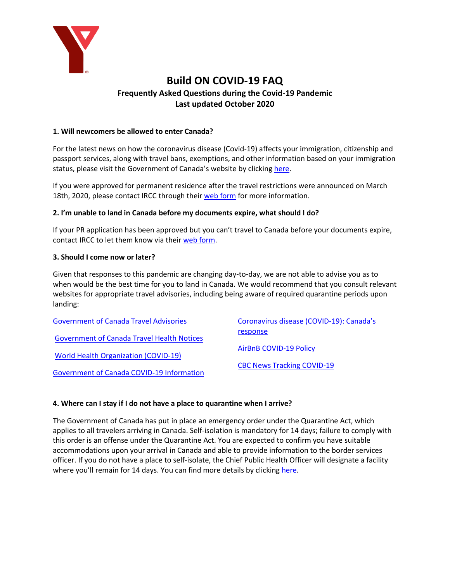

# **Build ON COVID-19 FAQ Frequently Asked Questions during the Covid-19 Pandemic Last updated October 2020**

# **1. Will newcomers be allowed to enter Canada?**

For the latest news on how the coronavirus disease (Covid-19) affects your immigration, citizenship and passport services, along with travel bans, exemptions, and other information based on your immigration status, please visit the Government of Canada's website by clicking [here.](https://www.canada.ca/en/immigration-refugees-citizenship/services/coronavirus-covid19.html)

If you were approved for permanent residence after the travel restrictions were announced on March 18th, 2020, please contact IRCC through their [web form](https://secure.cic.gc.ca/enquiries-renseignements/canada-case-cas-eng.aspx) for more information.

### **2. I'm unable to land in Canada before my documents expire, what should I do?**

If your PR application has been approved but you can't travel to Canada before your documents expire, contact IRCC to let them know via their [web form.](https://secure.cic.gc.ca/enquiries-renseignements/canada-case-cas-eng.aspx)

### **3. Should I come now or later?**

Given that responses to this pandemic are changing day-to-day, we are not able to advise you as to when would be the best time for you to land in Canada. We would recommend that you consult relevant websites for appropriate travel advisories, including being aware of required quarantine periods upon landing:

| <b>Government of Canada Travel Advisories</b>     | Coronavirus disease (COVID-19): Canada's |
|---------------------------------------------------|------------------------------------------|
| <b>Government of Canada Travel Health Notices</b> | response                                 |
|                                                   | <b>AirBnB COVID-19 Policy</b>            |
| <b>World Health Organization (COVID-19)</b>       |                                          |
| <b>Government of Canada COVID-19 Information</b>  | <b>CBC News Tracking COVID-19</b>        |

#### **4. Where can I stay if I do not have a place to quarantine when I arrive?**

The Government of Canada has put in place an emergency order under the Quarantine Act, which applies to all travelers arriving in Canada. Self-isolation is mandatory for 14 days; failure to comply with this order is an offense under the Quarantine Act. You are expected to confirm you have suitable accommodations upon your arrival in Canada and able to provide information to the border services officer. If you do not have a place to self-isolate, the Chief Public Health Officer will designate a facility where you'll remain for 14 days. You can find more details by clicking [here.](https://www.canada.ca/en/public-health/services/diseases/2019-novel-coronavirus-infection/latest-travel-health-advice.html#_Travellers_without_symptoms)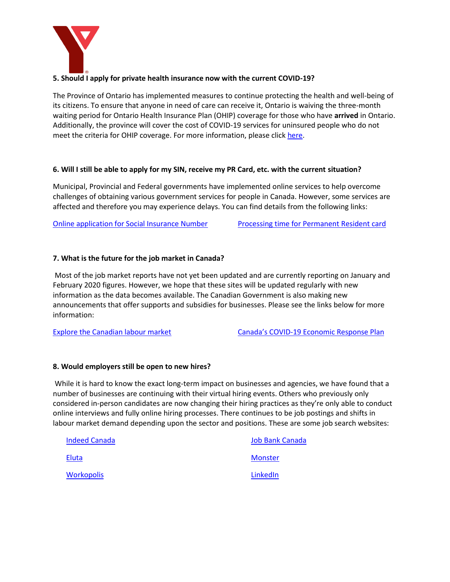

# **5. Should I apply for private health insurance now with the current COVID-19?**

The Province of Ontario has implemented measures to continue protecting the health and well-being of its citizens. To ensure that anyone in need of care can receive it, Ontario is waiving the three-month waiting period for Ontario Health Insurance Plan (OHIP) coverage for those who have **arrived** in Ontario. Additionally, the province will cover the cost of COVID-19 services for uninsured people who do not meet the criteria for OHIP coverage. For more information, please click [here.](https://news.ontario.ca/mohltc/en/2020/03/ontario-expands-coverage-for-care.html)

### **6. Will I still be able to apply for my SIN, receive my PR Card, etc. with the current situation?**

Municipal, Provincial and Federal governments have implemented online services to help overcome challenges of obtaining various government services for people in Canada. However, some services are affected and therefore you may experience delays. You can find details from the following links:

[Online application for Social Insurance Number](https://www.canada.ca/en/employment-social-development/services/sin/applicants-guide.html) [Processing time for Permanent Resident card](https://www.canada.ca/en/immigration-refugees-citizenship/services/application/check-processing-times.html)

# **7. What is the future for the job market in Canada?**

Most of the job market reports have not yet been updated and are currently reporting on January and February 2020 figures. However, we hope that these sites will be updated regularly with new information as the data becomes available. The Canadian Government is also making new announcements that offer supports and subsidies for businesses. Please see the links below for more information:

[Explore the Canadian labour market](https://www.jobbank.gc.ca/trend-analysis/job-market-reports) Canada's COVID[-19 Economic Response Plan](https://www.canada.ca/en/department-finance/economic-response-plan.html)

#### **8. Would employers still be open to new hires?**

While it is hard to know the exact long-term impact on businesses and agencies, we have found that a number of businesses are continuing with their virtual hiring events. Others who previously only considered in-person candidates are now changing their hiring practices as they're only able to conduct online interviews and fully online hiring processes. There continues to be job postings and shifts in labour market demand depending upon the sector and positions. These are some job search websites:

| <b>Indeed Canada</b> | <b>Job Bank Canada</b> |
|----------------------|------------------------|
| Eluta                | <b>Monster</b>         |
| Workopolis           | LinkedIn               |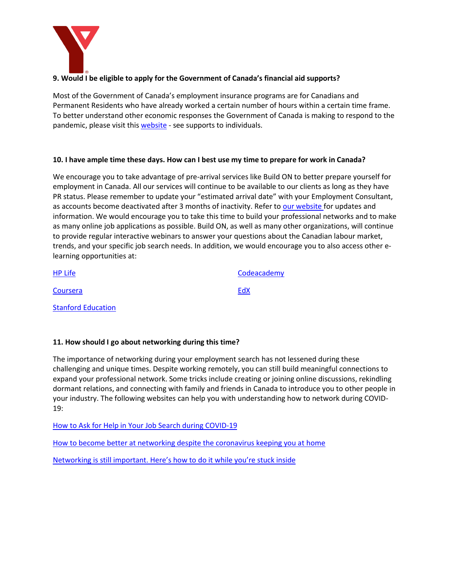

# **9. Would I be eligible to apply for the Government of Canada's financial aid supports?**

Most of the Government of Canada's employment insurance programs are for Canadians and Permanent Residents who have already worked a certain number of hours within a certain time frame. To better understand other economic responses the Government of Canada is making to respond to the pandemic, please visit this [website](https://www.canada.ca/en/department-finance/economic-response-plan.html) - see supports to individuals.

### **10. I have ample time these days. How can I best use my time to prepare for work in Canada?**

We encourage you to take advantage of pre-arrival services like Build ON to better prepare yourself for employment in Canada. All our services will continue to be available to our clients as long as they have PR status. Please remember to update your "estimated arrival date" with your Employment Consultant, as accounts become deactivated after 3 months of inactivity. Refer to [our website](http://www.buildonbatit.com/) for updates and information. We would encourage you to take this time to build your professional networks and to make as many online job applications as possible. Build ON, as well as many other organizations, will continue to provide regular interactive webinars to answer your questions about the Canadian labour market, trends, and your specific job search needs. In addition, we would encourage you to also access other elearning opportunities at:

| <b>HP Life</b>            | Codeacademy |
|---------------------------|-------------|
| Coursera                  | EdX         |
| <b>Stanford Education</b> |             |

# **11. How should I go about networking during this time?**

The importance of networking during your employment search has not lessened during these challenging and unique times. Despite working remotely, you can still build meaningful connections to expand your professional network. Some tricks include creating or joining online discussions, rekindling dormant relations, and connecting with family and friends in Canada to introduce you to other people in your industry. The following websites can help you with understanding how to network during COVID-19:

[How to Ask for Help in Your Job Search during COVID-19](https://www.themuse.com/advice/coronavirus-job-search-email-templates?sc_src=email_369805&sc_lid=22576589&sc_uid=ZhhEi2feB6&sc_llid=96252&sc_eh=fc5ad06d4f3e36161&utm_source=emarsys&utm_medium=email&utm_campaign=daily_20200513_Spon_369805&utm_content=sponsored&utm_term=_&sc_customer=jessica.marcotte%40ymcaywca.ca)

[How to become better at networking despite the coronavirus keeping you at home](https://www.cnbc.com/2020/03/20/coronavirus-how-to-become-better-at-networking-while-working-remotely.html)

[Networking is still important. Here's how to do it while you're stuck inside](https://www.linkedin.com/feed/news/you-can-network-while-stuck-at-home-4785156)